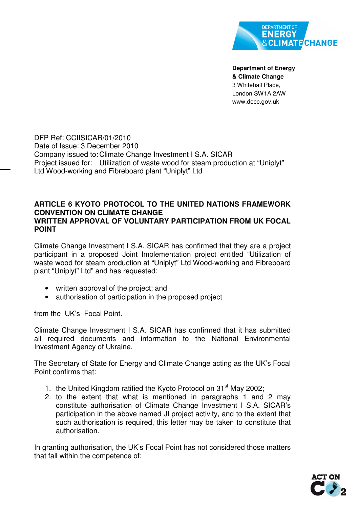

**Department of Energy & Climate Change**  3 Whitehall Place, London SW1A 2AW www.decc.gov.uk

DFP Ref: CCIISICAR/01/2010 Date of Issue: 3 December 2010 Company issued to: Climate Change Investment I S.A. SICAR Project issued for: Utilization of waste wood for steam production at "Uniplyt" Ltd Wood-working and Fibreboard plant "Uniplyt" Ltd

## **ARTICLE 6 KYOTO PROTOCOL TO THE UNITED NATIONS FRAMEWORK CONVENTION ON CLIMATE CHANGE WRITTEN APPROVAL OF VOLUNTARY PARTICIPATION FROM UK FOCAL POINT**

Climate Change Investment I S.A. SICAR has confirmed that they are a project participant in a proposed Joint Implementation project entitled "Utilization of waste wood for steam production at "Uniplyt" Ltd Wood-working and Fibreboard plant "Uniplyt" Ltd" and has requested:

- written approval of the project; and
- authorisation of participation in the proposed project

from the UK's Focal Point.

Climate Change Investment I S.A. SICAR has confirmed that it has submitted all required documents and information to the National Environmental Investment Agency of Ukraine.

The Secretary of State for Energy and Climate Change acting as the UK's Focal Point confirms that:

- 1. the United Kingdom ratified the Kyoto Protocol on  $31<sup>st</sup>$  May 2002;
- 2. to the extent that what is mentioned in paragraphs 1 and 2 may constitute authorisation of Climate Change Investment I S.A. SICAR's participation in the above named JI project activity, and to the extent that such authorisation is required, this letter may be taken to constitute that authorisation.

In granting authorisation, the UK's Focal Point has not considered those matters that fall within the competence of: